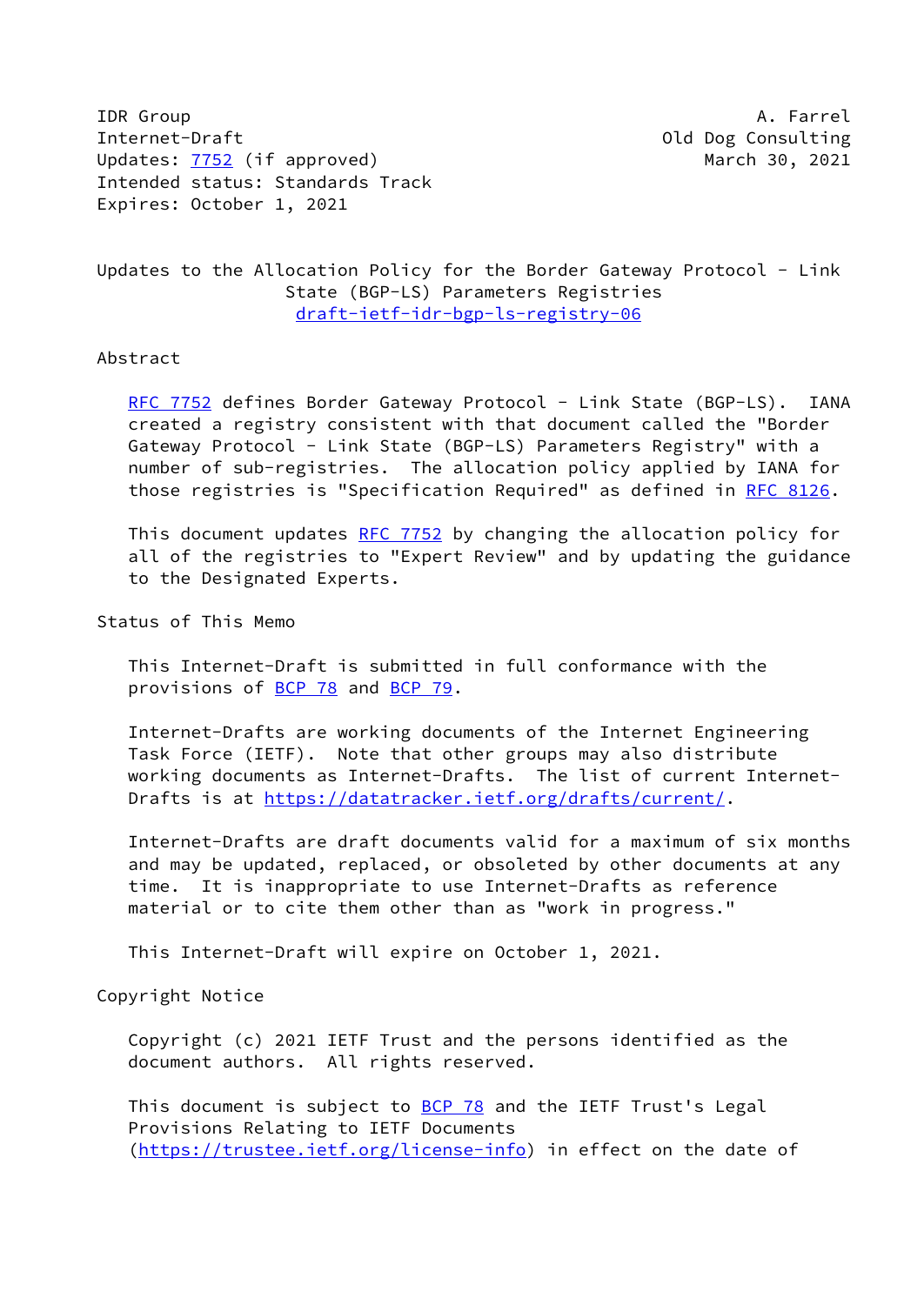IDR Group **A. Farrel** Internet-Draft Old Dog Consulting Updates: [7752](https://datatracker.ietf.org/doc/pdf/rfc7752) (if approved) March 30, 2021 Intended status: Standards Track Expires: October 1, 2021

# Updates to the Allocation Policy for the Border Gateway Protocol - Link State (BGP-LS) Parameters Registries [draft-ietf-idr-bgp-ls-registry-06](https://datatracker.ietf.org/doc/pdf/draft-ietf-idr-bgp-ls-registry-06)

#### Abstract

[RFC 7752](https://datatracker.ietf.org/doc/pdf/rfc7752) defines Border Gateway Protocol - Link State (BGP-LS). IANA created a registry consistent with that document called the "Border Gateway Protocol - Link State (BGP-LS) Parameters Registry" with a number of sub-registries. The allocation policy applied by IANA for those registries is "Specification Required" as defined in [RFC 8126.](https://datatracker.ietf.org/doc/pdf/rfc8126)

This document updates [RFC 7752](https://datatracker.ietf.org/doc/pdf/rfc7752) by changing the allocation policy for all of the registries to "Expert Review" and by updating the guidance to the Designated Experts.

Status of This Memo

 This Internet-Draft is submitted in full conformance with the provisions of [BCP 78](https://datatracker.ietf.org/doc/pdf/bcp78) and [BCP 79](https://datatracker.ietf.org/doc/pdf/bcp79).

 Internet-Drafts are working documents of the Internet Engineering Task Force (IETF). Note that other groups may also distribute working documents as Internet-Drafts. The list of current Internet- Drafts is at<https://datatracker.ietf.org/drafts/current/>.

 Internet-Drafts are draft documents valid for a maximum of six months and may be updated, replaced, or obsoleted by other documents at any time. It is inappropriate to use Internet-Drafts as reference material or to cite them other than as "work in progress."

This Internet-Draft will expire on October 1, 2021.

Copyright Notice

 Copyright (c) 2021 IETF Trust and the persons identified as the document authors. All rights reserved.

This document is subject to **[BCP 78](https://datatracker.ietf.org/doc/pdf/bcp78)** and the IETF Trust's Legal Provisions Relating to IETF Documents [\(https://trustee.ietf.org/license-info](https://trustee.ietf.org/license-info)) in effect on the date of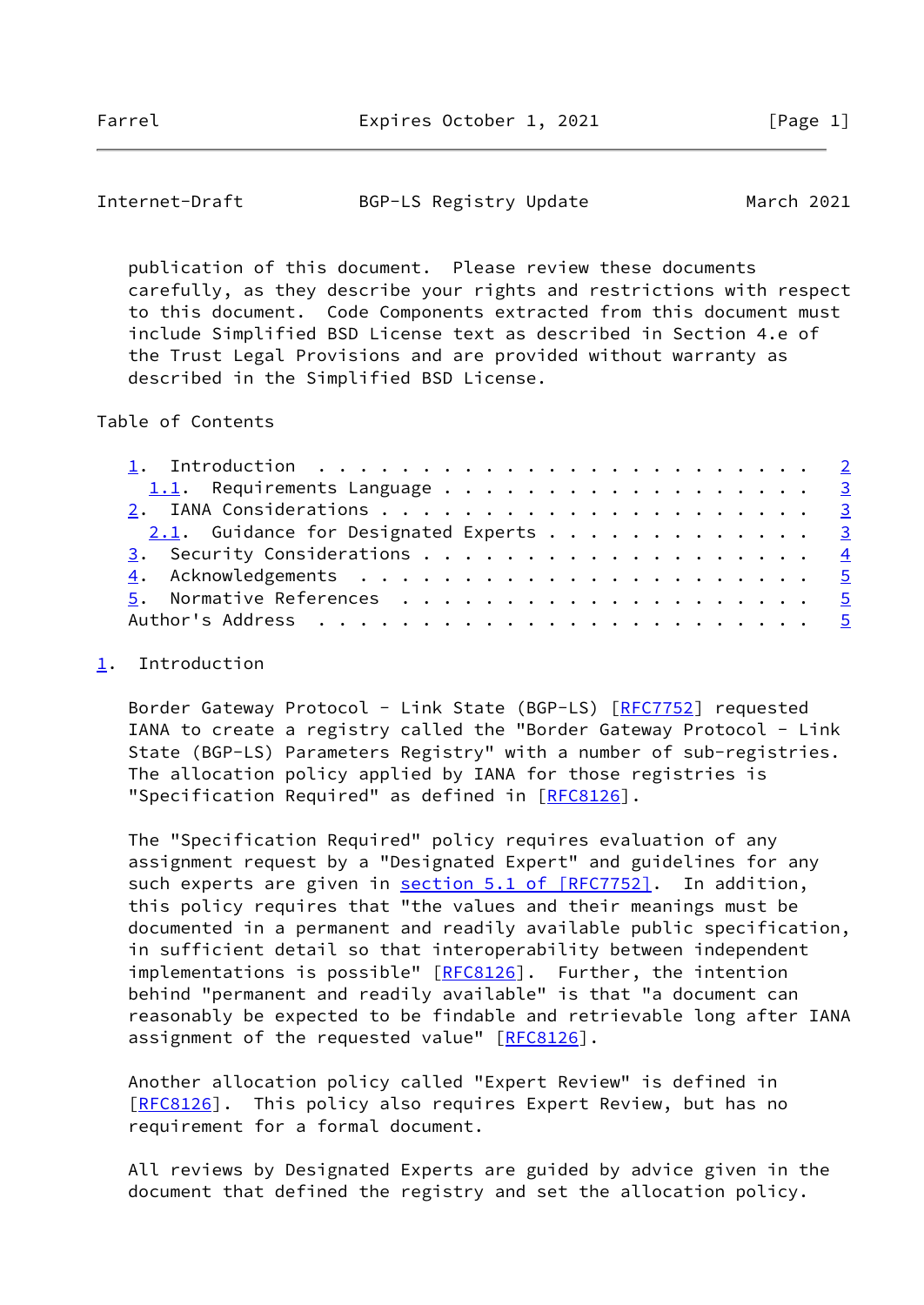<span id="page-1-1"></span>

| Internet-Draft | BGP-LS Registry Update | March 2021 |
|----------------|------------------------|------------|
|----------------|------------------------|------------|

 publication of this document. Please review these documents carefully, as they describe your rights and restrictions with respect to this document. Code Components extracted from this document must include Simplified BSD License text as described in Section 4.e of the Trust Legal Provisions and are provided without warranty as described in the Simplified BSD License.

### Table of Contents

| 1.1. Requirements Language 3           |  |
|----------------------------------------|--|
|                                        |  |
| 2.1. Guidance for Designated Experts 3 |  |
|                                        |  |
|                                        |  |
|                                        |  |
|                                        |  |

## <span id="page-1-0"></span>[1](#page-1-0). Introduction

Border Gateway Protocol - Link State (BGP-LS) [[RFC7752](https://datatracker.ietf.org/doc/pdf/rfc7752)] requested IANA to create a registry called the "Border Gateway Protocol - Link State (BGP-LS) Parameters Registry" with a number of sub-registries. The allocation policy applied by IANA for those registries is "Specification Required" as defined in [\[RFC8126](https://datatracker.ietf.org/doc/pdf/rfc8126)].

 The "Specification Required" policy requires evaluation of any assignment request by a "Designated Expert" and guidelines for any such experts are given in section [5.1 of \[RFC7752\]](https://datatracker.ietf.org/doc/pdf/rfc7752#section-5.1). In addition, this policy requires that "the values and their meanings must be documented in a permanent and readily available public specification, in sufficient detail so that interoperability between independent implementations is possible" [\[RFC8126](https://datatracker.ietf.org/doc/pdf/rfc8126)]. Further, the intention behind "permanent and readily available" is that "a document can reasonably be expected to be findable and retrievable long after IANA assignment of the requested value" [[RFC8126\]](https://datatracker.ietf.org/doc/pdf/rfc8126).

 Another allocation policy called "Expert Review" is defined in [\[RFC8126](https://datatracker.ietf.org/doc/pdf/rfc8126)]. This policy also requires Expert Review, but has no requirement for a formal document.

 All reviews by Designated Experts are guided by advice given in the document that defined the registry and set the allocation policy.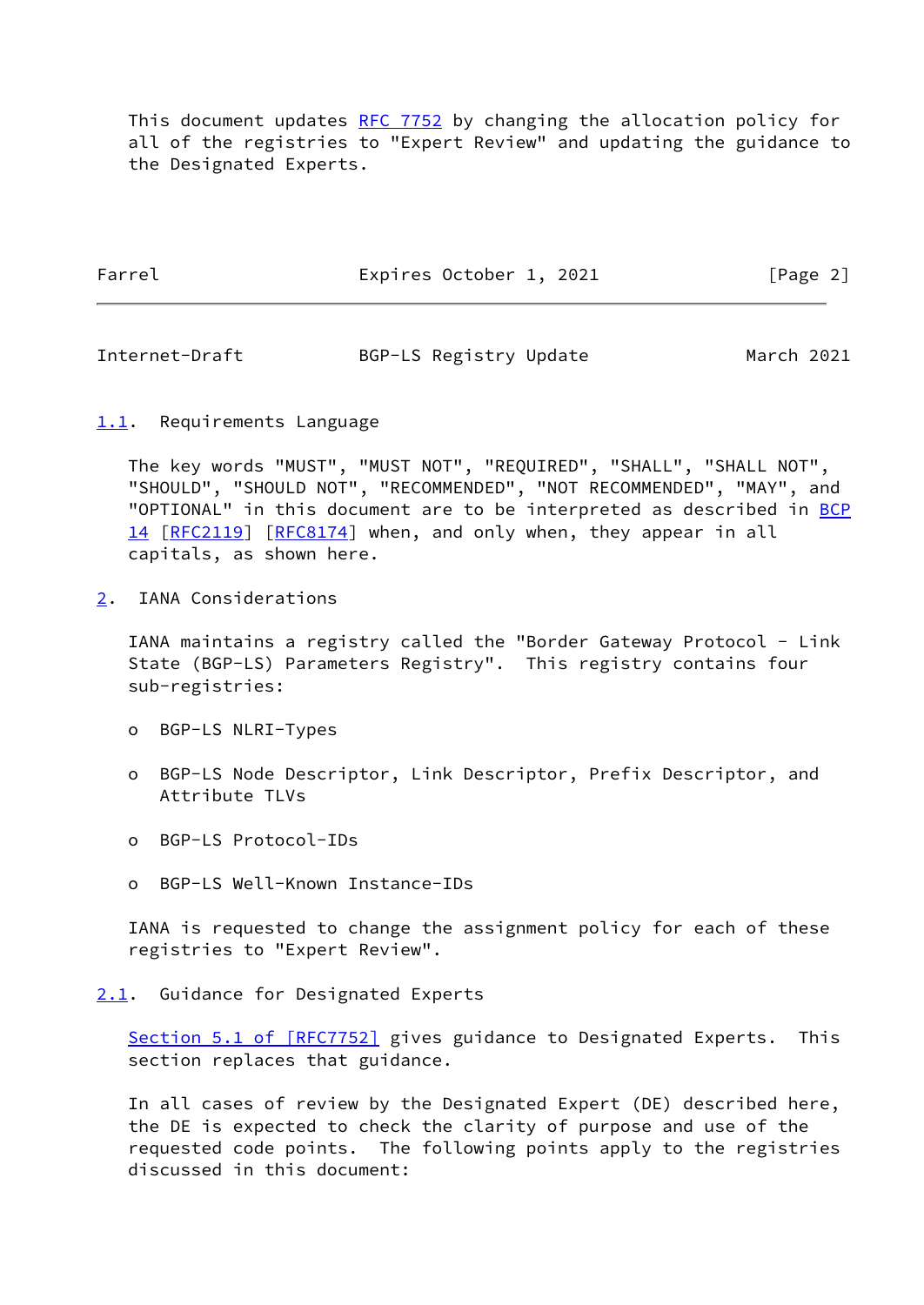This document updates [RFC 7752](https://datatracker.ietf.org/doc/pdf/rfc7752) by changing the allocation policy for all of the registries to "Expert Review" and updating the guidance to the Designated Experts.

Farrel Expires October 1, 2021 [Page 2]

<span id="page-2-1"></span>Internet-Draft BGP-LS Registry Update March 2021

<span id="page-2-0"></span>[1.1](#page-2-0). Requirements Language

 The key words "MUST", "MUST NOT", "REQUIRED", "SHALL", "SHALL NOT", "SHOULD", "SHOULD NOT", "RECOMMENDED", "NOT RECOMMENDED", "MAY", and "OPTIONAL" in this document are to be interpreted as described in [BCP](https://datatracker.ietf.org/doc/pdf/bcp14) [14](https://datatracker.ietf.org/doc/pdf/bcp14) [[RFC2119\]](https://datatracker.ietf.org/doc/pdf/rfc2119) [\[RFC8174](https://datatracker.ietf.org/doc/pdf/rfc8174)] when, and only when, they appear in all capitals, as shown here.

<span id="page-2-2"></span>[2](#page-2-2). IANA Considerations

 IANA maintains a registry called the "Border Gateway Protocol - Link State (BGP-LS) Parameters Registry". This registry contains four sub-registries:

- o BGP-LS NLRI-Types
- o BGP-LS Node Descriptor, Link Descriptor, Prefix Descriptor, and Attribute TLVs
- o BGP-LS Protocol-IDs
- o BGP-LS Well-Known Instance-IDs

 IANA is requested to change the assignment policy for each of these registries to "Expert Review".

## <span id="page-2-3"></span>[2.1](#page-2-3). Guidance for Designated Experts

Section [5.1 of \[RFC7752\]](https://datatracker.ietf.org/doc/pdf/rfc7752#section-5.1) gives guidance to Designated Experts. This section replaces that guidance.

 In all cases of review by the Designated Expert (DE) described here, the DE is expected to check the clarity of purpose and use of the requested code points. The following points apply to the registries discussed in this document: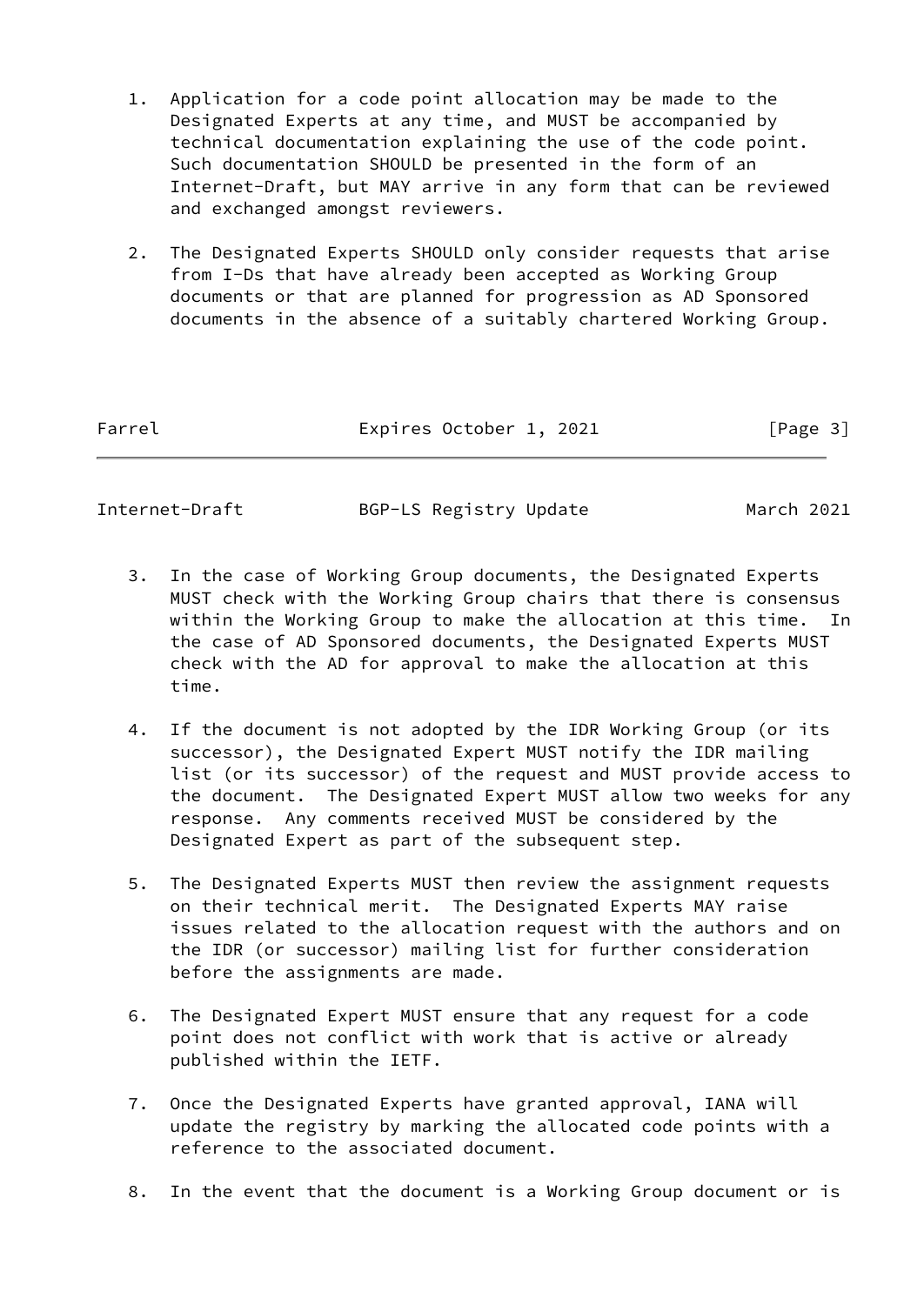- 1. Application for a code point allocation may be made to the Designated Experts at any time, and MUST be accompanied by technical documentation explaining the use of the code point. Such documentation SHOULD be presented in the form of an Internet-Draft, but MAY arrive in any form that can be reviewed and exchanged amongst reviewers.
- 2. The Designated Experts SHOULD only consider requests that arise from I-Ds that have already been accepted as Working Group documents or that are planned for progression as AD Sponsored documents in the absence of a suitably chartered Working Group.

| Farrel | Expires October 1, 2021 | [Page 3] |
|--------|-------------------------|----------|
|        |                         |          |

<span id="page-3-0"></span>Internet-Draft BGP-LS Registry Update March 2021

- 3. In the case of Working Group documents, the Designated Experts MUST check with the Working Group chairs that there is consensus within the Working Group to make the allocation at this time. In the case of AD Sponsored documents, the Designated Experts MUST check with the AD for approval to make the allocation at this time.
- 4. If the document is not adopted by the IDR Working Group (or its successor), the Designated Expert MUST notify the IDR mailing list (or its successor) of the request and MUST provide access to the document. The Designated Expert MUST allow two weeks for any response. Any comments received MUST be considered by the Designated Expert as part of the subsequent step.
- 5. The Designated Experts MUST then review the assignment requests on their technical merit. The Designated Experts MAY raise issues related to the allocation request with the authors and on the IDR (or successor) mailing list for further consideration before the assignments are made.
- 6. The Designated Expert MUST ensure that any request for a code point does not conflict with work that is active or already published within the IETF.
- 7. Once the Designated Experts have granted approval, IANA will update the registry by marking the allocated code points with a reference to the associated document.
- 8. In the event that the document is a Working Group document or is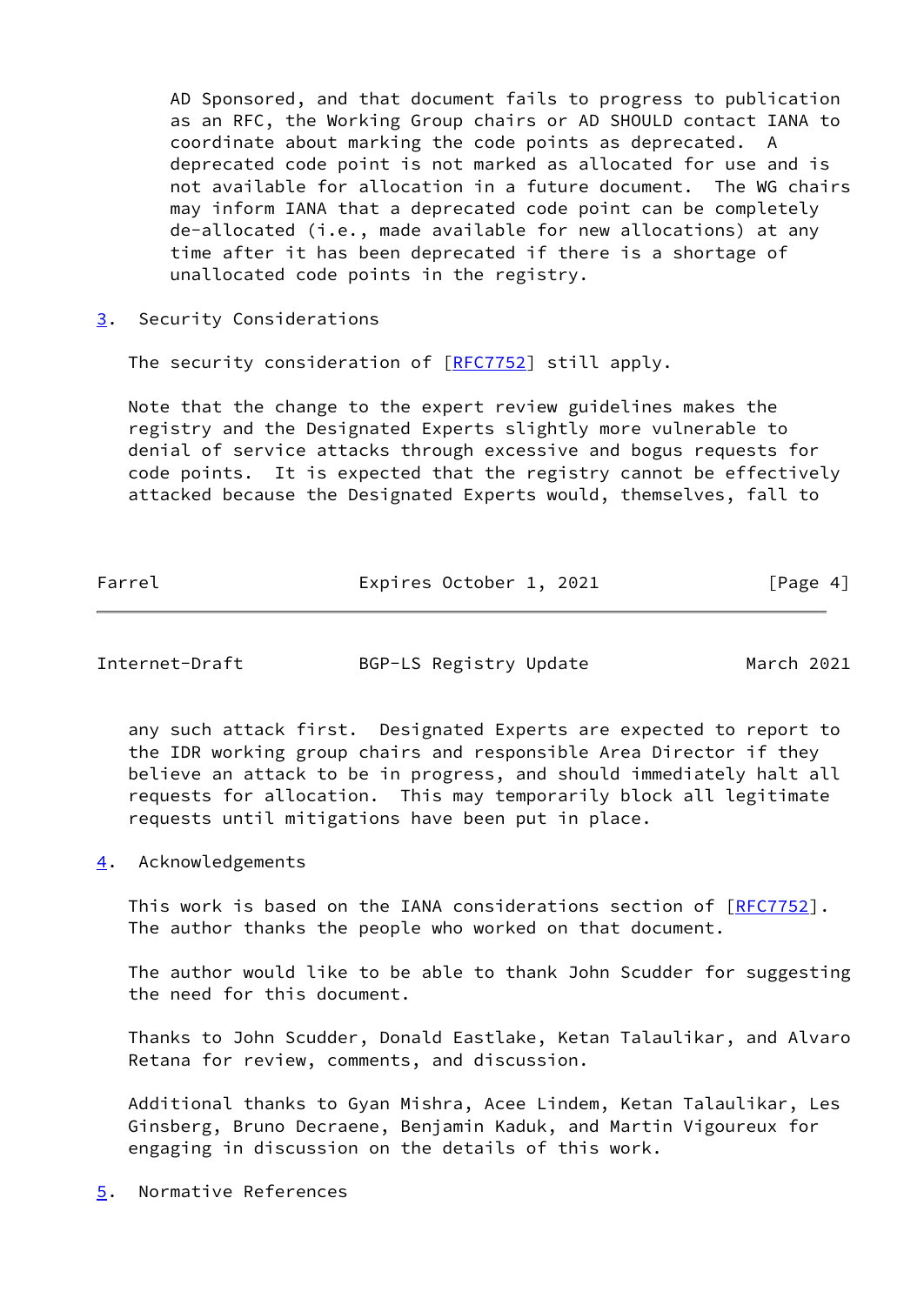AD Sponsored, and that document fails to progress to publication as an RFC, the Working Group chairs or AD SHOULD contact IANA to coordinate about marking the code points as deprecated. A deprecated code point is not marked as allocated for use and is not available for allocation in a future document. The WG chairs may inform IANA that a deprecated code point can be completely de-allocated (i.e., made available for new allocations) at any time after it has been deprecated if there is a shortage of unallocated code points in the registry.

<span id="page-4-0"></span>[3](#page-4-0). Security Considerations

The security consideration of [[RFC7752](https://datatracker.ietf.org/doc/pdf/rfc7752)] still apply.

 Note that the change to the expert review guidelines makes the registry and the Designated Experts slightly more vulnerable to denial of service attacks through excessive and bogus requests for code points. It is expected that the registry cannot be effectively attacked because the Designated Experts would, themselves, fall to

| Farrel | Expires October 1, 2021 | [Page 4] |
|--------|-------------------------|----------|
|        |                         |          |

<span id="page-4-2"></span>Internet-Draft BGP-LS Registry Update March 2021

 any such attack first. Designated Experts are expected to report to the IDR working group chairs and responsible Area Director if they believe an attack to be in progress, and should immediately halt all requests for allocation. This may temporarily block all legitimate requests until mitigations have been put in place.

<span id="page-4-1"></span>[4](#page-4-1). Acknowledgements

This work is based on the IANA considerations section of [\[RFC7752](https://datatracker.ietf.org/doc/pdf/rfc7752)]. The author thanks the people who worked on that document.

 The author would like to be able to thank John Scudder for suggesting the need for this document.

 Thanks to John Scudder, Donald Eastlake, Ketan Talaulikar, and Alvaro Retana for review, comments, and discussion.

 Additional thanks to Gyan Mishra, Acee Lindem, Ketan Talaulikar, Les Ginsberg, Bruno Decraene, Benjamin Kaduk, and Martin Vigoureux for engaging in discussion on the details of this work.

<span id="page-4-3"></span>[5](#page-4-3). Normative References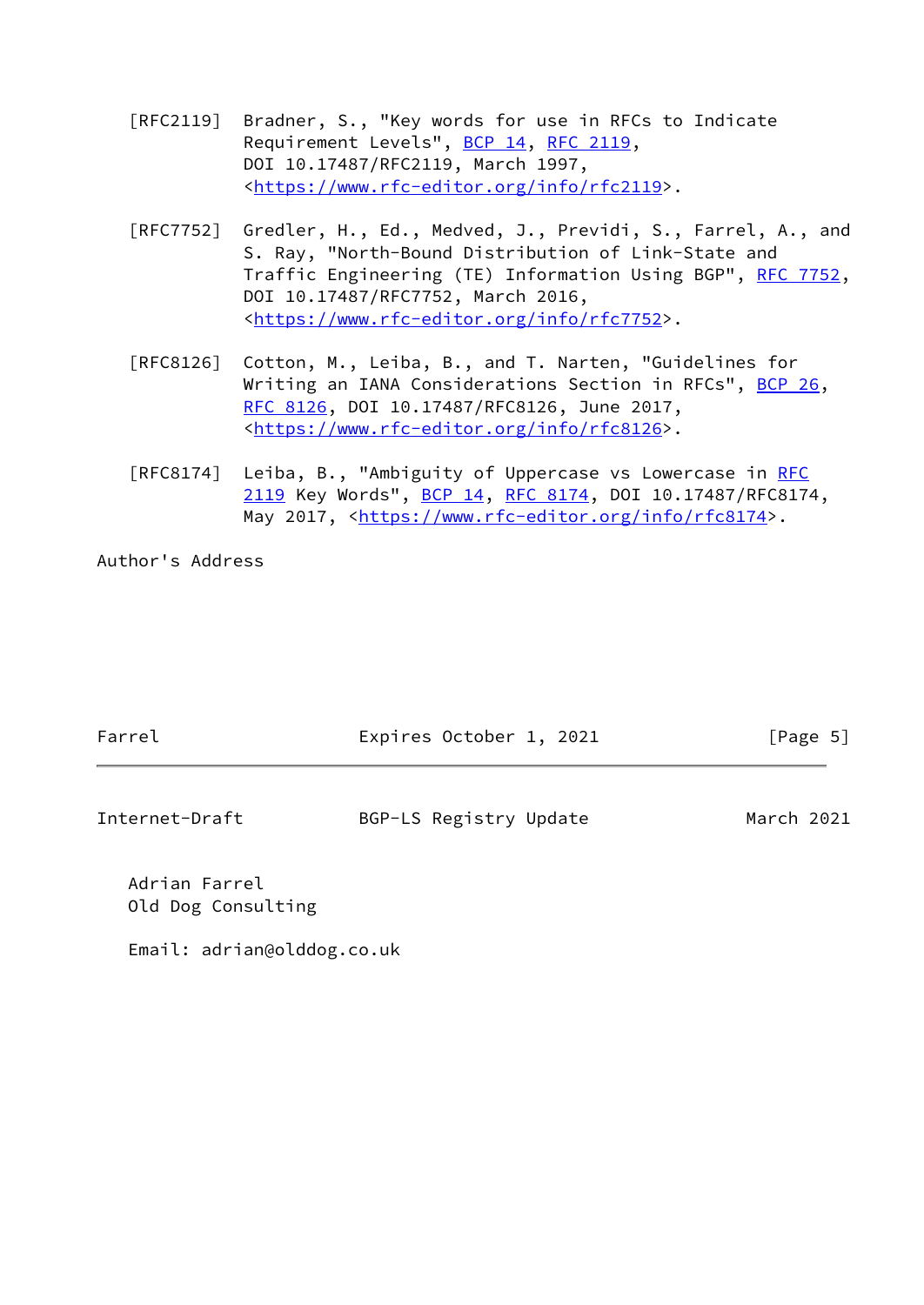- [RFC2119] Bradner, S., "Key words for use in RFCs to Indicate Requirement Levels", [BCP 14](https://datatracker.ietf.org/doc/pdf/bcp14), [RFC 2119](https://datatracker.ietf.org/doc/pdf/rfc2119), DOI 10.17487/RFC2119, March 1997, <[https://www.rfc-editor.org/info/rfc2119>](https://www.rfc-editor.org/info/rfc2119).
- [RFC7752] Gredler, H., Ed., Medved, J., Previdi, S., Farrel, A., and S. Ray, "North-Bound Distribution of Link-State and Traffic Engineering (TE) Information Using BGP", [RFC 7752,](https://datatracker.ietf.org/doc/pdf/rfc7752) DOI 10.17487/RFC7752, March 2016, <[https://www.rfc-editor.org/info/rfc7752>](https://www.rfc-editor.org/info/rfc7752).
- [RFC8126] Cotton, M., Leiba, B., and T. Narten, "Guidelines for Writing an IANA Considerations Section in RFCs", [BCP 26](https://datatracker.ietf.org/doc/pdf/bcp26), [RFC 8126,](https://datatracker.ietf.org/doc/pdf/rfc8126) DOI 10.17487/RFC8126, June 2017, <[https://www.rfc-editor.org/info/rfc8126>](https://www.rfc-editor.org/info/rfc8126).
- [RFC8174] Leiba, B., "Ambiguity of Uppercase vs Lowercase in [RFC](https://datatracker.ietf.org/doc/pdf/rfc2119) [2119](https://datatracker.ietf.org/doc/pdf/rfc2119) Key Words", [BCP 14](https://datatracker.ietf.org/doc/pdf/bcp14), [RFC 8174,](https://datatracker.ietf.org/doc/pdf/rfc8174) DOI 10.17487/RFC8174, May 2017, [<https://www.rfc-editor.org/info/rfc8174](https://www.rfc-editor.org/info/rfc8174)>.

Author's Address

| Farrel         | Expires October 1, 2021 | [Page 5]   |
|----------------|-------------------------|------------|
|                |                         |            |
| Internet-Draft | BGP-LS Registry Update  | March 2021 |

 Adrian Farrel Old Dog Consulting

Email: adrian@olddog.co.uk